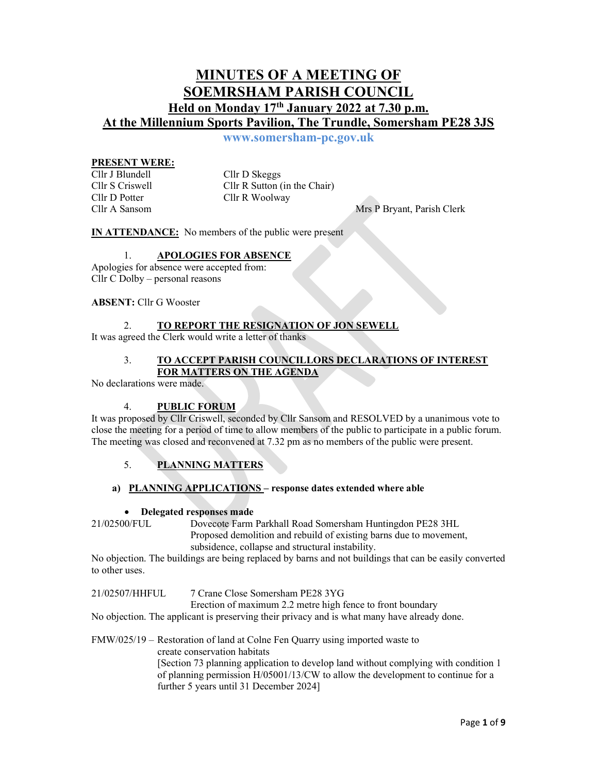## MINUTES OF A MEETING OF SOEMRSHAM PARISH COUNCIL Held on Monday 17th January 2022 at 7.30 p.m. At the Millennium Sports Pavilion, The Trundle, Somersham PE28 3JS

www.somersham-pc.gov.uk

# **PRESENT WERE:**<br>Cllr J Blundell

Cllr D Skeggs Cllr S Criswell Cllr R Sutton (in the Chair) Cllr D Potter Cllr R Woolway

Cllr A Sansom Mrs P Bryant, Parish Clerk

IN ATTENDANCE: No members of the public were present

## 1. APOLOGIES FOR ABSENCE

Apologies for absence were accepted from: Cllr C Dolby – personal reasons

#### ABSENT: Cllr G Wooster

## TO REPORT THE RESIGNATION OF JON SEWELL

It was agreed the Clerk would write a letter of thanks

#### 3. TO ACCEPT PARISH COUNCILLORS DECLARATIONS OF INTEREST FOR MATTERS ON THE AGENDA

No declarations were made.

## 4. PUBLIC FORUM

It was proposed by Cllr Criswell, seconded by Cllr Sansom and RESOLVED by a unanimous vote to close the meeting for a period of time to allow members of the public to participate in a public forum. The meeting was closed and reconvened at 7.32 pm as no members of the public were present.

## 5. PLANNING MATTERS

## a) PLANNING APPLICATIONS – response dates extended where able

#### Delegated responses made

21/02500/FUL Dovecote Farm Parkhall Road Somersham Huntingdon PE28 3HL Proposed demolition and rebuild of existing barns due to movement,

subsidence, collapse and structural instability.

No objection. The buildings are being replaced by barns and not buildings that can be easily converted to other uses.

21/02507/HHFUL 7 Crane Close Somersham PE28 3YG

Erection of maximum 2.2 metre high fence to front boundary

No objection. The applicant is preserving their privacy and is what many have already done.

FMW/025/19 – Restoration of land at Colne Fen Quarry using imported waste to create conservation habitats [Section 73 planning application to develop land without complying with condition 1 of planning permission H/05001/13/CW to allow the development to continue for a further 5 years until 31 December 2024]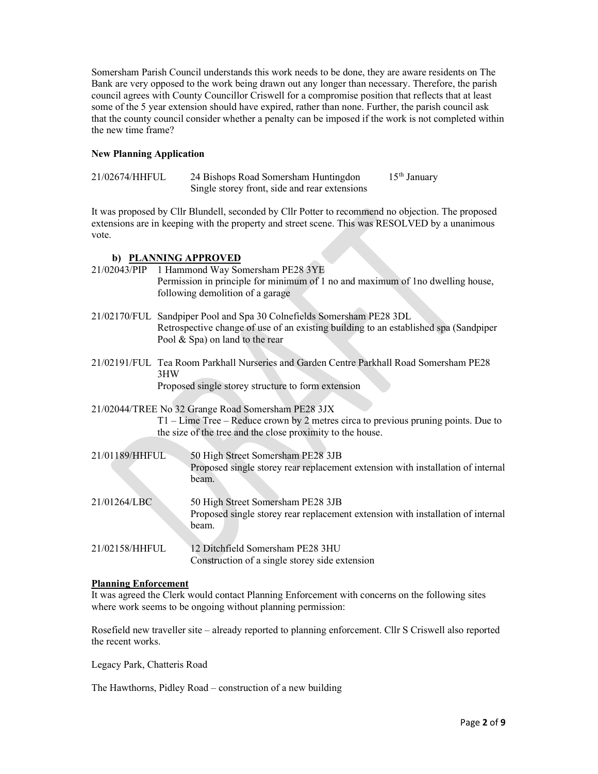Somersham Parish Council understands this work needs to be done, they are aware residents on The Bank are very opposed to the work being drawn out any longer than necessary. Therefore, the parish council agrees with County Councillor Criswell for a compromise position that reflects that at least some of the 5 year extension should have expired, rather than none. Further, the parish council ask that the county council consider whether a penalty can be imposed if the work is not completed within the new time frame?

## New Planning Application

| 21/02674/HHFUL | 24 Bishops Road Somersham Huntingdon          | $15th$ January |
|----------------|-----------------------------------------------|----------------|
|                | Single storey front, side and rear extensions |                |

It was proposed by Cllr Blundell, seconded by Cllr Potter to recommend no objection. The proposed extensions are in keeping with the property and street scene. This was RESOLVED by a unanimous vote.

## b) PLANNING APPROVED

| 21/02043/PIP   | 1 Hammond Way Somersham PE28 3YE<br>Permission in principle for minimum of 1 no and maximum of 1 no dwelling house,<br>following demolition of a garage                                                  |
|----------------|----------------------------------------------------------------------------------------------------------------------------------------------------------------------------------------------------------|
|                | 21/02170/FUL Sandpiper Pool and Spa 30 Colnefields Somersham PE28 3DL<br>Retrospective change of use of an existing building to an established spa (Sandpiper<br>Pool $\&$ Spa) on land to the rear      |
|                | 21/02191/FUL Tea Room Parkhall Nurseries and Garden Centre Parkhall Road Somersham PE28<br>3HW<br>Proposed single storey structure to form extension                                                     |
|                | 21/02044/TREE No 32 Grange Road Somersham PE28 3JX<br>$T1$ – Lime Tree – Reduce crown by 2 metres circa to previous pruning points. Due to<br>the size of the tree and the close proximity to the house. |
| 21/01189/HHFUL | 50 High Street Somersham PE28 3JB<br>Proposed single storey rear replacement extension with installation of internal<br>beam.                                                                            |
| 21/01264/LBC   | 50 High Street Somersham PE28 3JB<br>Proposed single storey rear replacement extension with installation of internal<br>beam.                                                                            |
| 21/02158/HHFUL | 12 Ditchfield Somersham PE28 3HU<br>Construction of a single storey side extension                                                                                                                       |

## Planning Enforcement

It was agreed the Clerk would contact Planning Enforcement with concerns on the following sites where work seems to be ongoing without planning permission:

Rosefield new traveller site – already reported to planning enforcement. Cllr S Criswell also reported the recent works.

Legacy Park, Chatteris Road

The Hawthorns, Pidley Road – construction of a new building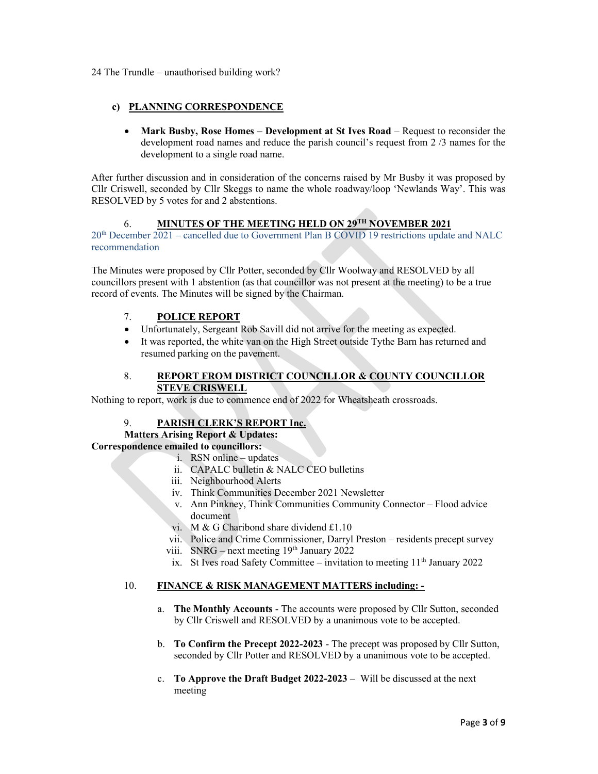24 The Trundle – unauthorised building work?

## c) PLANNING CORRESPONDENCE

 Mark Busby, Rose Homes – Development at St Ives Road – Request to reconsider the development road names and reduce the parish council's request from 2 /3 names for the development to a single road name.

After further discussion and in consideration of the concerns raised by Mr Busby it was proposed by Cllr Criswell, seconded by Cllr Skeggs to name the whole roadway/loop 'Newlands Way'. This was RESOLVED by 5 votes for and 2 abstentions.

## 6. MINUTES OF THE MEETING HELD ON 29TH NOVEMBER 2021

 $20<sup>th</sup>$  December 2021 – cancelled due to Government Plan B COVID 19 restrictions update and NALC recommendation

The Minutes were proposed by Cllr Potter, seconded by Cllr Woolway and RESOLVED by all councillors present with 1 abstention (as that councillor was not present at the meeting) to be a true record of events. The Minutes will be signed by the Chairman.

## 7. POLICE REPORT

- Unfortunately, Sergeant Rob Savill did not arrive for the meeting as expected.
- It was reported, the white van on the High Street outside Tythe Barn has returned and resumed parking on the pavement.

## 8. REPORT FROM DISTRICT COUNCILLOR & COUNTY COUNCILLOR STEVE CRISWELL

Nothing to report, work is due to commence end of 2022 for Wheatsheath crossroads.

#### 9. PARISH CLERK'S REPORT Inc.

## Matters Arising Report & Updates:

## Correspondence emailed to councillors:

- i. RSN online updates
- ii. CAPALC bulletin & NALC CEO bulletins
- iii. Neighbourhood Alerts
- iv. Think Communities December 2021 Newsletter
- v. Ann Pinkney, Think Communities Community Connector Flood advice document
- vi. M & G Charibond share dividend £1.10
- vii. Police and Crime Commissioner, Darryl Preston residents precept survey
- viii. SNRG next meeting  $19<sup>th</sup>$  January 2022
- ix. St Ives road Safety Committee invitation to meeting  $11<sup>th</sup>$  January 2022

#### 10. FINANCE & RISK MANAGEMENT MATTERS including: -

- a. The Monthly Accounts The accounts were proposed by Cllr Sutton, seconded by Cllr Criswell and RESOLVED by a unanimous vote to be accepted.
- b. To Confirm the Precept 2022-2023 The precept was proposed by Cllr Sutton, seconded by Cllr Potter and RESOLVED by a unanimous vote to be accepted.
- c. To Approve the Draft Budget  $2022-2023$  Will be discussed at the next meeting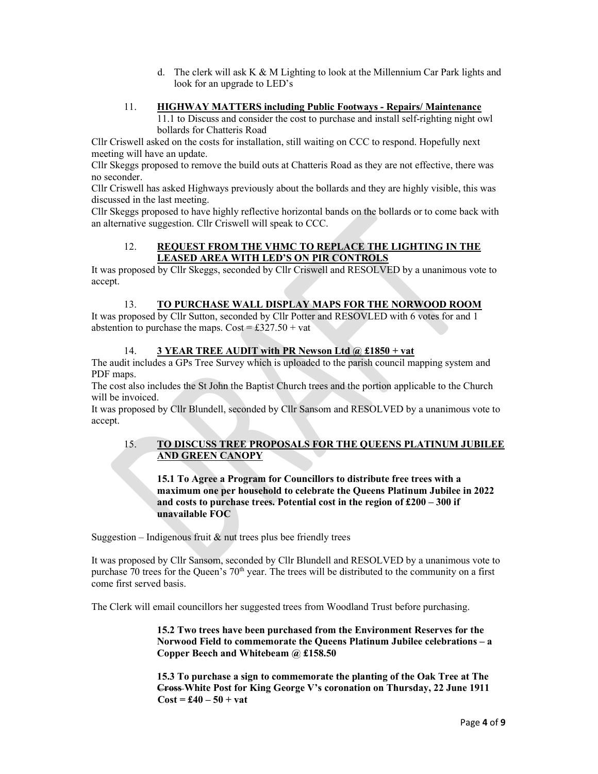d. The clerk will ask  $K & M$  Lighting to look at the Millennium Car Park lights and look for an upgrade to LED's

## 11. HIGHWAY MATTERS including Public Footways - Repairs/Maintenance

11.1 to Discuss and consider the cost to purchase and install self-righting night owl bollards for Chatteris Road

Cllr Criswell asked on the costs for installation, still waiting on CCC to respond. Hopefully next meeting will have an update.

Cllr Skeggs proposed to remove the build outs at Chatteris Road as they are not effective, there was no seconder.

Cllr Criswell has asked Highways previously about the bollards and they are highly visible, this was discussed in the last meeting.

Cllr Skeggs proposed to have highly reflective horizontal bands on the bollards or to come back with an alternative suggestion. Cllr Criswell will speak to CCC.

#### 12. REQUEST FROM THE VHMC TO REPLACE THE LIGHTING IN THE LEASED AREA WITH LED'S ON PIR CONTROLS

It was proposed by Cllr Skeggs, seconded by Cllr Criswell and RESOLVED by a unanimous vote to accept.

## 13. TO PURCHASE WALL DISPLAY MAPS FOR THE NORWOOD ROOM

It was proposed by Cllr Sutton, seconded by Cllr Potter and RESOVLED with 6 votes for and 1 abstention to purchase the maps.  $Cost = £327.50 + vat$ 

#### 14. **3 YEAR TREE AUDIT with PR Newson Ltd @ £1850 + vat**

The audit includes a GPs Tree Survey which is uploaded to the parish council mapping system and PDF maps.

The cost also includes the St John the Baptist Church trees and the portion applicable to the Church will be invoiced.

It was proposed by Cllr Blundell, seconded by Cllr Sansom and RESOLVED by a unanimous vote to accept.

## 15. TO DISCUSS TREE PROPOSALS FOR THE QUEENS PLATINUM JUBILEE AND GREEN CANOPY

15.1 To Agree a Program for Councillors to distribute free trees with a maximum one per household to celebrate the Queens Platinum Jubilee in 2022 and costs to purchase trees. Potential cost in the region of £200 – 300 if unavailable FOC

Suggestion – Indigenous fruit  $\&$  nut trees plus bee friendly trees

It was proposed by Cllr Sansom, seconded by Cllr Blundell and RESOLVED by a unanimous vote to purchase 70 trees for the Queen's  $70<sup>th</sup>$  year. The trees will be distributed to the community on a first come first served basis.

The Clerk will email councillors her suggested trees from Woodland Trust before purchasing.

15.2 Two trees have been purchased from the Environment Reserves for the Norwood Field to commemorate the Queens Platinum Jubilee celebrations – a Copper Beech and Whitebeam @ £158.50

15.3 To purchase a sign to commemorate the planting of the Oak Tree at The Cross White Post for King George V's coronation on Thursday, 22 June 1911  $\text{Cost} = \pounds 40 - 50 + \text{vat}$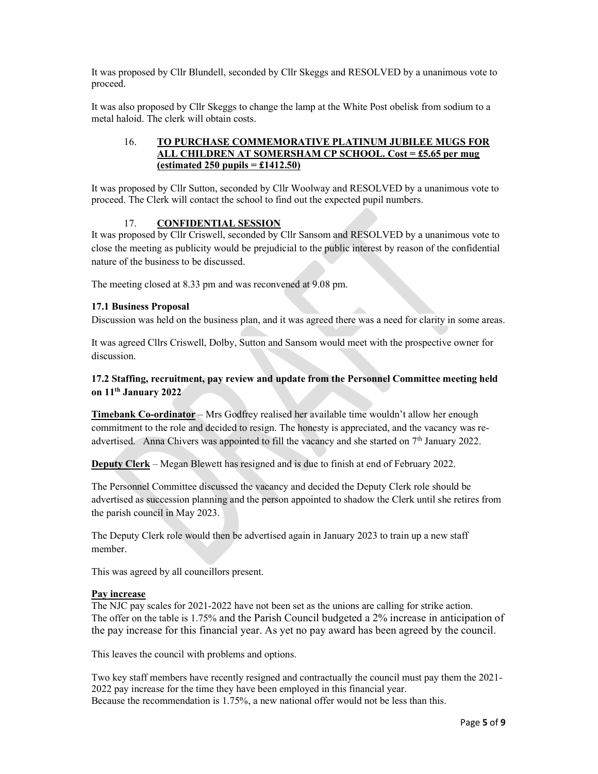It was proposed by Cllr Blundell, seconded by Cllr Skeggs and RESOLVED by a unanimous vote to proceed.

It was also proposed by Cllr Skeggs to change the lamp at the White Post obelisk from sodium to a metal haloid. The clerk will obtain costs.

## 16. TO PURCHASE COMMEMORATIVE PLATINUM JUBILEE MUGS FOR ALL CHILDREN AT SOMERSHAM CP SCHOOL. Cost = £5.65 per mug (estimated 250 pupils  $=$  £1412.50)

It was proposed by Cllr Sutton, seconded by Cllr Woolway and RESOLVED by a unanimous vote to proceed. The Clerk will contact the school to find out the expected pupil numbers.

## 17. CONFIDENTIAL SESSION

It was proposed by Cllr Criswell, seconded by Cllr Sansom and RESOLVED by a unanimous vote to close the meeting as publicity would be prejudicial to the public interest by reason of the confidential nature of the business to be discussed.

The meeting closed at 8.33 pm and was reconvened at 9.08 pm.

#### 17.1 Business Proposal

Discussion was held on the business plan, and it was agreed there was a need for clarity in some areas.

It was agreed Cllrs Criswell, Dolby, Sutton and Sansom would meet with the prospective owner for discussion.

## 17.2 Staffing, recruitment, pay review and update from the Personnel Committee meeting held on 11th January 2022

Timebank Co-ordinator – Mrs Godfrey realised her available time wouldn't allow her enough commitment to the role and decided to resign. The honesty is appreciated, and the vacancy was readvertised. Anna Chivers was appointed to fill the vacancy and she started on  $7<sup>th</sup>$  January 2022.

Deputy Clerk – Megan Blewett has resigned and is due to finish at end of February 2022.

The Personnel Committee discussed the vacancy and decided the Deputy Clerk role should be advertised as succession planning and the person appointed to shadow the Clerk until she retires from the parish council in May 2023.

The Deputy Clerk role would then be advertised again in January 2023 to train up a new staff member.

This was agreed by all councillors present.

#### Pay increase

The NJC pay scales for 2021-2022 have not been set as the unions are calling for strike action. The offer on the table is 1.75% and the Parish Council budgeted a 2% increase in anticipation of the pay increase for this financial year. As yet no pay award has been agreed by the council.

This leaves the council with problems and options.

Two key staff members have recently resigned and contractually the council must pay them the 2021- 2022 pay increase for the time they have been employed in this financial year. Because the recommendation is 1.75%, a new national offer would not be less than this.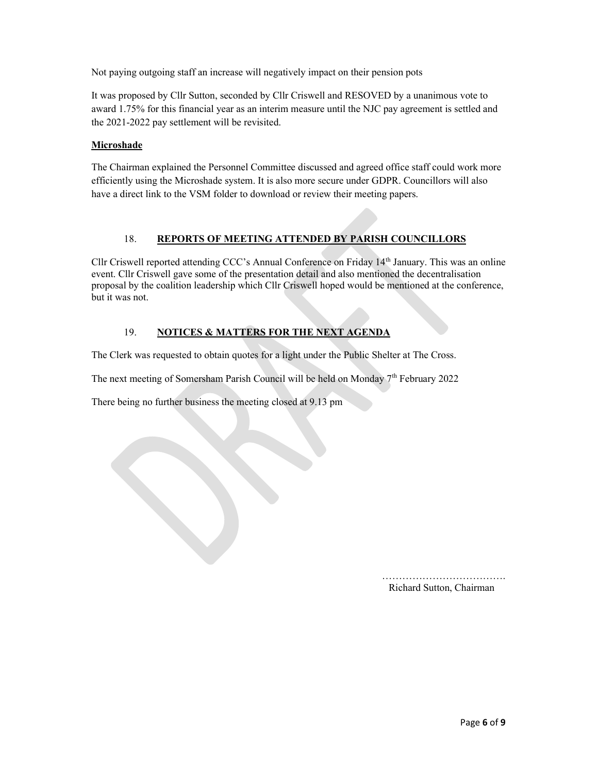Not paying outgoing staff an increase will negatively impact on their pension pots

It was proposed by Cllr Sutton, seconded by Cllr Criswell and RESOVED by a unanimous vote to award 1.75% for this financial year as an interim measure until the NJC pay agreement is settled and the 2021-2022 pay settlement will be revisited.

### **Microshade**

The Chairman explained the Personnel Committee discussed and agreed office staff could work more efficiently using the Microshade system. It is also more secure under GDPR. Councillors will also have a direct link to the VSM folder to download or review their meeting papers.

## 18. REPORTS OF MEETING ATTENDED BY PARISH COUNCILLORS

Cllr Criswell reported attending CCC's Annual Conference on Friday 14th January. This was an online event. Cllr Criswell gave some of the presentation detail and also mentioned the decentralisation proposal by the coalition leadership which Cllr Criswell hoped would be mentioned at the conference, but it was not.

## 19. NOTICES & MATTERS FOR THE NEXT AGENDA

The Clerk was requested to obtain quotes for a light under the Public Shelter at The Cross.

The next meeting of Somersham Parish Council will be held on Monday 7th February 2022

There being no further business the meeting closed at 9.13 pm

………………………………. Richard Sutton, Chairman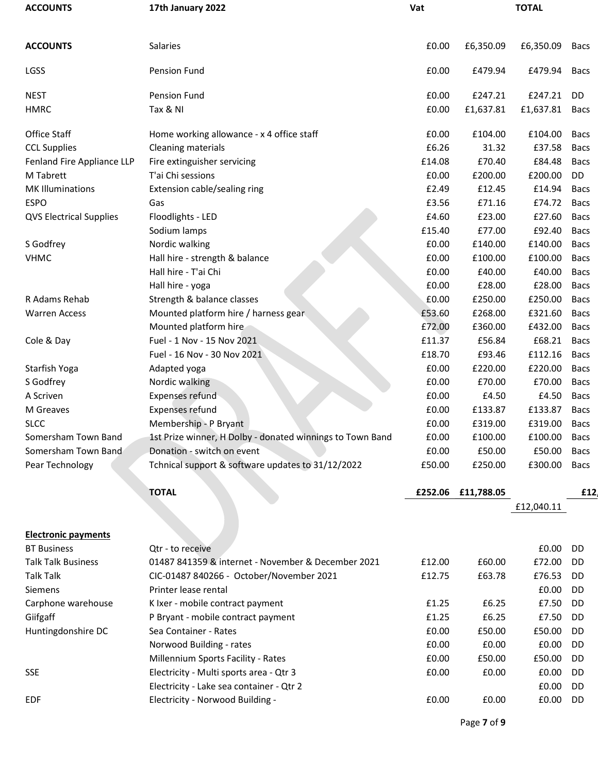| <b>ACCOUNTS</b>                | 17th January 2022                                         | Vat    |                    | <b>TOTAL</b> |             |
|--------------------------------|-----------------------------------------------------------|--------|--------------------|--------------|-------------|
|                                |                                                           |        |                    |              |             |
| <b>ACCOUNTS</b>                | Salaries                                                  | £0.00  | £6,350.09          | £6,350.09    | Bacs        |
| LGSS                           | Pension Fund                                              | £0.00  | £479.94            | £479.94      | <b>Bacs</b> |
|                                |                                                           |        |                    |              |             |
| <b>NEST</b>                    | Pension Fund                                              | £0.00  | £247.21            | £247.21      | <b>DD</b>   |
| <b>HMRC</b>                    | Tax & NI                                                  | £0.00  | £1,637.81          | £1,637.81    | Bacs        |
| Office Staff                   | Home working allowance - x 4 office staff                 | £0.00  | £104.00            | £104.00      | <b>Bacs</b> |
| <b>CCL Supplies</b>            | Cleaning materials                                        | £6.26  | 31.32              | £37.58       | <b>Bacs</b> |
| Fenland Fire Appliance LLP     | Fire extinguisher servicing                               | £14.08 | £70.40             | £84.48       | <b>Bacs</b> |
| M Tabrett                      | T'ai Chi sessions                                         | £0.00  | £200.00            | £200.00      | DD          |
| <b>MK Illuminations</b>        | Extension cable/sealing ring                              | £2.49  | £12.45             | £14.94       | <b>Bacs</b> |
| <b>ESPO</b>                    | Gas                                                       | £3.56  | £71.16             | £74.72       | <b>Bacs</b> |
| <b>QVS Electrical Supplies</b> | Floodlights - LED                                         | £4.60  | £23.00             | £27.60       | <b>Bacs</b> |
|                                | Sodium lamps                                              | £15.40 | £77.00             | £92.40       | <b>Bacs</b> |
| S Godfrey                      | Nordic walking                                            | £0.00  | £140.00            | £140.00      | <b>Bacs</b> |
| <b>VHMC</b>                    | Hall hire - strength & balance                            | £0.00  | £100.00            | £100.00      | Bacs        |
|                                | Hall hire - T'ai Chi                                      | £0.00  | £40.00             | £40.00       | <b>Bacs</b> |
|                                | Hall hire - yoga                                          | £0.00  | £28.00             | £28.00       | <b>Bacs</b> |
| R Adams Rehab                  | Strength & balance classes                                | £0.00  | £250.00            | £250.00      | <b>Bacs</b> |
| <b>Warren Access</b>           | Mounted platform hire / harness gear                      | £53.60 | £268.00            | £321.60      | <b>Bacs</b> |
|                                | Mounted platform hire                                     | £72.00 | £360.00            | £432.00      | <b>Bacs</b> |
| Cole & Day                     | Fuel - 1 Nov - 15 Nov 2021                                | £11.37 | £56.84             | £68.21       | <b>Bacs</b> |
|                                | Fuel - 16 Nov - 30 Nov 2021                               | £18.70 | £93.46             | £112.16      | <b>Bacs</b> |
| Starfish Yoga                  | Adapted yoga                                              | £0.00  | £220.00            | £220.00      | <b>Bacs</b> |
| S Godfrey                      | Nordic walking                                            | £0.00  | £70.00             | £70.00       | <b>Bacs</b> |
| A Scriven                      | Expenses refund                                           | £0.00  | £4.50              | £4.50        | <b>Bacs</b> |
| M Greaves                      | <b>Expenses refund</b>                                    | £0.00  | £133.87            | £133.87      | <b>Bacs</b> |
| <b>SLCC</b>                    | Membership - P Bryant                                     | £0.00  | £319.00            | £319.00      | <b>Bacs</b> |
| Somersham Town Band            | 1st Prize winner, H Dolby - donated winnings to Town Band | £0.00  | £100.00            | £100.00      | Bacs        |
| Somersham Town Band            | Donation - switch on event                                | £0.00  | £50.00             | £50.00       | <b>Bacs</b> |
| Pear Technology                | Tchnical support & software updates to 31/12/2022         | £50.00 | £250.00            | £300.00      | Bacs        |
|                                |                                                           |        |                    |              |             |
|                                | <b>TOTAL</b>                                              |        | £252.06 £11,788.05 |              | £12         |
|                                |                                                           |        |                    | £12,040.11   |             |
| <b>Electronic payments</b>     |                                                           |        |                    |              |             |
| <b>BT Business</b>             | Qtr - to receive                                          |        |                    | £0.00        | DD          |
| <b>Talk Talk Business</b>      | 01487 841359 & internet - November & December 2021        | £12.00 | £60.00             | £72.00       | DD          |
| <b>Talk Talk</b>               | CIC-01487 840266 - October/November 2021                  | £12.75 | £63.78             | £76.53       | DD          |
| Siemens                        | Printer lease rental                                      |        |                    | £0.00        | DD          |
| Carphone warehouse             | K Ixer - mobile contract payment                          | £1.25  | £6.25              | £7.50        | DD          |
| Giifgaff                       | P Bryant - mobile contract payment                        | £1.25  | £6.25              | £7.50        | DD          |
| Huntingdonshire DC             | Sea Container - Rates                                     | £0.00  | £50.00             | £50.00       | DD          |
|                                | Norwood Building - rates                                  | £0.00  | £0.00              | £0.00        | DD          |
|                                | Millennium Sports Facility - Rates                        | £0.00  | £50.00             | £50.00       | DD          |
| <b>SSE</b>                     | Electricity - Multi sports area - Qtr 3                   | £0.00  | £0.00              | £0.00        | DD          |
|                                | Electricity - Lake sea container - Qtr 2                  |        |                    | £0.00        | DD          |
| <b>EDF</b>                     | Electricity - Norwood Building -                          | £0.00  | £0.00              | £0.00        | DD          |
|                                |                                                           |        |                    |              |             |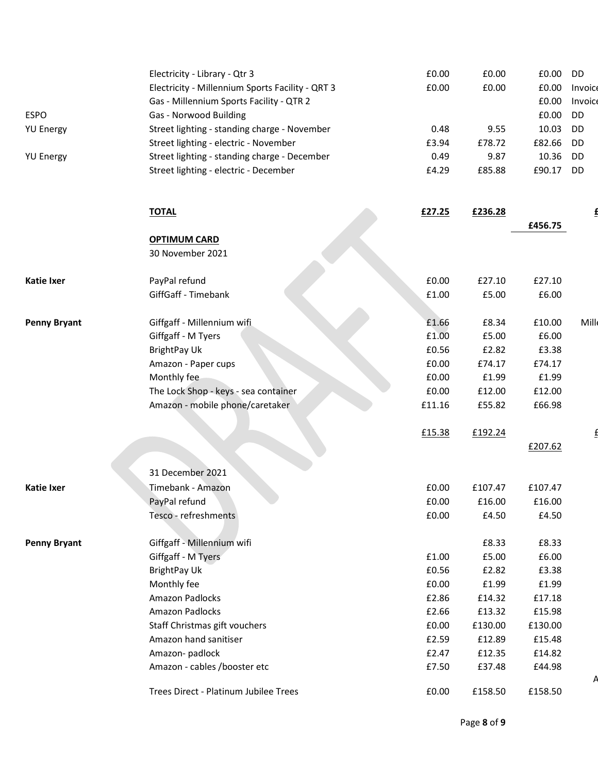|                     | Electricity - Library - Qtr 3                    | £0.00  | £0.00   | £0.00   | DD        |
|---------------------|--------------------------------------------------|--------|---------|---------|-----------|
|                     | Electricity - Millennium Sports Facility - QRT 3 | £0.00  | £0.00   | £0.00   | Invoice   |
|                     | Gas - Millennium Sports Facility - QTR 2         |        |         | £0.00   | Invoice   |
| <b>ESPO</b>         | Gas - Norwood Building                           |        |         | £0.00   | <b>DD</b> |
| <b>YU Energy</b>    | Street lighting - standing charge - November     | 0.48   | 9.55    | 10.03   | DD        |
|                     | Street lighting - electric - November            | £3.94  | £78.72  | £82.66  | DD        |
| <b>YU Energy</b>    | Street lighting - standing charge - December     | 0.49   | 9.87    | 10.36   | DD        |
|                     | Street lighting - electric - December            | £4.29  | £85.88  | £90.17  | DD        |
|                     |                                                  |        |         |         |           |
|                     | <b>TOTAL</b>                                     | £27.25 | £236.28 |         |           |
|                     |                                                  |        |         | £456.75 |           |
|                     | <b>OPTIMUM CARD</b>                              |        |         |         |           |
|                     | 30 November 2021                                 |        |         |         |           |
|                     |                                                  |        |         |         |           |
| <b>Katie Ixer</b>   | PayPal refund                                    | £0.00  | £27.10  | £27.10  |           |
|                     | GiffGaff - Timebank                              | £1.00  | £5.00   | £6.00   |           |
|                     |                                                  |        |         |         |           |
| <b>Penny Bryant</b> | Giffgaff - Millennium wifi                       | £1.66  | £8.34   | £10.00  | Mill      |
|                     | Giffgaff - M Tyers                               | £1.00  | £5.00   | £6.00   |           |
|                     | <b>BrightPay Uk</b>                              | £0.56  | £2.82   | £3.38   |           |
|                     | Amazon - Paper cups                              | £0.00  | £74.17  | £74.17  |           |
|                     | Monthly fee                                      | £0.00  | £1.99   | £1.99   |           |
|                     | The Lock Shop - keys - sea container             | £0.00  | £12.00  | £12.00  |           |
|                     | Amazon - mobile phone/caretaker                  | £11.16 | £55.82  | £66.98  |           |
|                     |                                                  | £15.38 | £192.24 |         |           |
|                     |                                                  |        |         | £207.62 |           |
|                     |                                                  |        |         |         |           |
|                     | 31 December 2021                                 |        |         |         |           |
| <b>Katie Ixer</b>   | Timebank - Amazon                                | £0.00  | £107.47 | £107.47 |           |
|                     | PayPal refund                                    | £0.00  | £16.00  | £16.00  |           |
|                     | Tesco - refreshments                             | £0.00  | £4.50   | £4.50   |           |
| <b>Penny Bryant</b> | Giffgaff - Millennium wifi                       |        | £8.33   | £8.33   |           |
|                     | Giffgaff - M Tyers                               | £1.00  | £5.00   | £6.00   |           |
|                     | <b>BrightPay Uk</b>                              | £0.56  | £2.82   | £3.38   |           |
|                     | Monthly fee                                      | £0.00  | £1.99   | £1.99   |           |
|                     | Amazon Padlocks                                  | £2.86  | £14.32  | £17.18  |           |
|                     | Amazon Padlocks                                  | £2.66  | £13.32  | £15.98  |           |
|                     | Staff Christmas gift vouchers                    | £0.00  | £130.00 | £130.00 |           |
|                     | Amazon hand sanitiser                            | £2.59  | £12.89  | £15.48  |           |
|                     | Amazon-padlock                                   | £2.47  | £12.35  | £14.82  |           |
|                     | Amazon - cables /booster etc                     | £7.50  | £37.48  | £44.98  |           |
|                     |                                                  |        |         |         | P         |
|                     | Trees Direct - Platinum Jubilee Trees            | £0.00  | £158.50 | £158.50 |           |
|                     |                                                  |        |         |         |           |